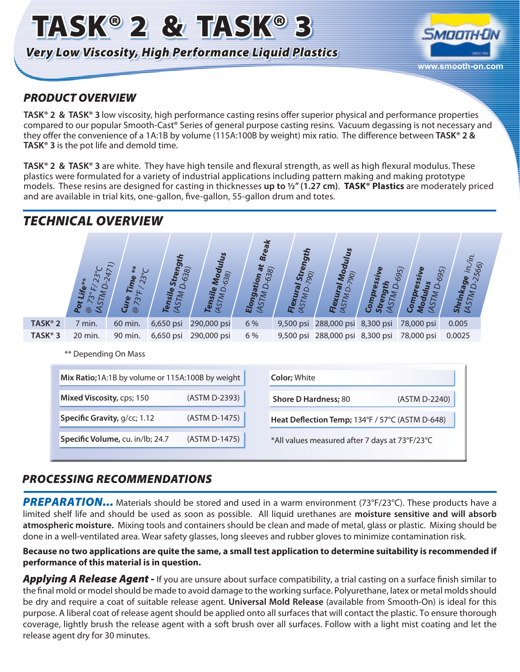# TASK® 2 & TASK® 3 *Very Low Viscosity, High Performance Liquid Plastics*



## *PRODUCT OVERVIEW*

**TASK® 2 & TASK® 3** low viscosity, high performance casting resins offer superior physical and performance properties compared to our popular Smooth-Cast® Series of general purpose casting resins. Vacuum degassing is not necessary and they offer the convenience of a 1A:1B by volume (115A:100B by weight) mix ratio. The difference between **TASK® 2 & TASK® 3** is the pot life and demold time.

**TASK® 2 & TASK® 3** are white. They have high tensile and flexural strength, as well as high flexural modulus. These plastics were formulated for a variety of industrial applications including pattern making and making prototype models. These resins are designed for casting in thicknesses **up to ½" (1.27 cm)**. **TASK® Plastics** are moderately priced and are available in trial kits, one-gallon, five-gallon, 55-gallon drum and totes.

# *TECHNICAL OVERVIEW*

|                     | (1/3)<br>$23^{\circ}C$<br>Pot Life**<br>$3^{\circ}F$<br>STM<br>$\mathbf{x}$<br>$\circledcirc$ | $**$<br>$23^{\circ}$ C<br>Time<br>73°F/<br>Cure<br>$\circledR$ | Tensile Strength<br>$(ASTMD-638)$ | Tensile Modulus<br>$(ASTMD-638)$                 | Break<br>Elongation at<br>(ASTM D-638) | Flexural Strength<br>(ASTMD.790)                | Flexural Modulus<br>$(ASTM_0, 790)$ | Compressive<br>(ASTM D-695)<br>Strength | (ASTM D-695)<br><b>Compressive</b><br>Modulus | in./in.<br><b>Shrinkage</b> in./i<br>(ASTM D-2566) |
|---------------------|-----------------------------------------------------------------------------------------------|----------------------------------------------------------------|-----------------------------------|--------------------------------------------------|----------------------------------------|-------------------------------------------------|-------------------------------------|-----------------------------------------|-----------------------------------------------|----------------------------------------------------|
| TASK <sup>®</sup> 2 | 7 min.                                                                                        | 60 min.                                                        | 6,650 psi                         | 290,000 psi                                      | 6 %                                    | 9,500 psi                                       | 288,000 psi                         | 8,300 psi                               | 78,000 psi                                    | 0.005                                              |
| TASK <sup>®</sup> 3 | 20 min.                                                                                       | 90 min.                                                        | 6,650 psi                         | 290,000 psi                                      | 6 %                                    |                                                 | 9,500 psi 288,000 psi 8,300 psi     |                                         | 78,000 psi                                    | 0.0025                                             |
|                     | ** Depending On Mass                                                                          |                                                                |                                   |                                                  |                                        |                                                 |                                     |                                         |                                               |                                                    |
|                     |                                                                                               |                                                                |                                   | Mix Ratio;1A:1B by volume or 115A:100B by weight |                                        | <b>Color</b> ; White                            |                                     |                                         |                                               |                                                    |
|                     | (ASTM D-2393)<br>Mixed Viscosity, cps; 150                                                    |                                                                |                                   |                                                  |                                        | <b>Shore D Hardness; 80</b>                     |                                     |                                         | (ASTM D-2240)                                 |                                                    |
|                     | (ASTM D-1475)<br>Specific Gravity, g/cc; 1.12                                                 |                                                                |                                   |                                                  |                                        | Heat Deflection Temp; 134°F / 57°C (ASTM D-648) |                                     |                                         |                                               |                                                    |

## *PROCESSING RECOMMENDATIONS*

**Specific Volume,** cu. in/lb; 24.7 (ASTM D-1475)

**PREPARATION...** Materials should be stored and used in a warm environment (73°F/23°C). These products have a limited shelf life and should be used as soon as possible. All liquid urethanes are **moisture sensitive and will absorb atmospheric moisture.** Mixing tools and containers should be clean and made of metal, glass or plastic. Mixing should be done in a well-ventilated area. Wear safety glasses, long sleeves and rubber gloves to minimize contamination risk.

\*All values measured after 7 days at 73°F/23°C

**Because no two applications are quite the same, a small test application to determine suitability is recommended if performance of this material is in question.**

*Applying A Release Agent -* If you are unsure about surface compatibility, a trial casting on a surface finish similar to the final mold or model should be made to avoid damage to the working surface. Polyurethane, latex or metal molds should be dry and require a coat of suitable release agent. **Universal Mold Release** (available from Smooth-On) is ideal for this purpose. A liberal coat of release agent should be applied onto all surfaces that will contact the plastic. To ensure thorough coverage, lightly brush the release agent with a soft brush over all surfaces. Follow with a light mist coating and let the release agent dry for 30 minutes.